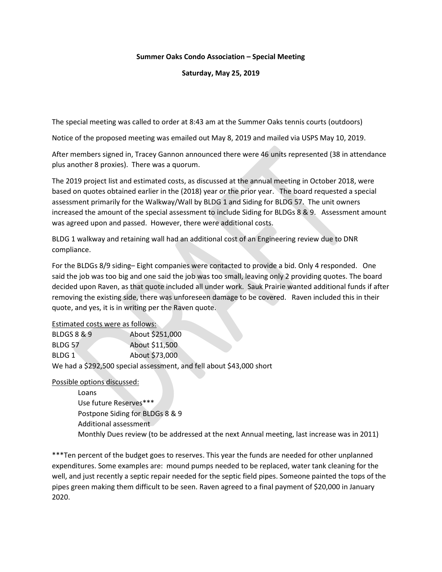## Summer Oaks Condo Association – Special Meeting

Saturday, May 25, 2019

The special meeting was called to order at 8:43 am at the Summer Oaks tennis courts (outdoors)

Notice of the proposed meeting was emailed out May 8, 2019 and mailed via USPS May 10, 2019.

After members signed in, Tracey Gannon announced there were 46 units represented (38 in attendance plus another 8 proxies). There was a quorum.

The 2019 project list and estimated costs, as discussed at the annual meeting in October 2018, were based on quotes obtained earlier in the (2018) year or the prior year. The board requested a special assessment primarily for the Walkway/Wall by BLDG 1 and Siding for BLDG 57. The unit owners increased the amount of the special assessment to include Siding for BLDGs 8 & 9. Assessment amount was agreed upon and passed. However, there were additional costs.

BLDG 1 walkway and retaining wall had an additional cost of an Engineering review due to DNR compliance.

For the BLDGs 8/9 siding– Eight companies were contacted to provide a bid. Only 4 responded. One said the job was too big and one said the job was too small, leaving only 2 providing quotes. The board decided upon Raven, as that quote included all under work. Sauk Prairie wanted additional funds if after removing the existing side, there was unforeseen damage to be covered. Raven included this in their quote, and yes, it is in writing per the Raven quote.

Estimated costs were as follows:

| <b>BLDGS 8 &amp; 9</b> | About \$251,000                                                      |
|------------------------|----------------------------------------------------------------------|
| BLDG 57                | About \$11,500                                                       |
| BLDG 1                 | About \$73,000                                                       |
|                        | We had a \$292,500 special assessment, and fell about \$43,000 short |

Possible options discussed:

Loans Use future Reserves\*\*\* Postpone Siding for BLDGs 8 & 9 Additional assessment Monthly Dues review (to be addressed at the next Annual meeting, last increase was in 2011)

\*\*\*Ten percent of the budget goes to reserves. This year the funds are needed for other unplanned expenditures. Some examples are: mound pumps needed to be replaced, water tank cleaning for the well, and just recently a septic repair needed for the septic field pipes. Someone painted the tops of the pipes green making them difficult to be seen. Raven agreed to a final payment of \$20,000 in January 2020.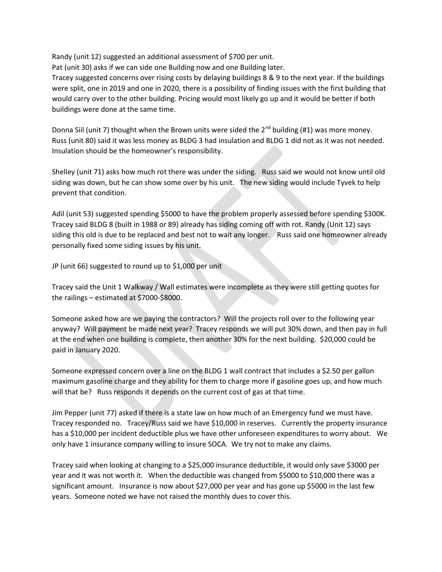Randy (unit 12) suggested an additional assessment of \$700 per unit.

Pat (unit 30) asks if we can side one Building now and one Building later.

Tracey suggested concerns over rising costs by delaying buildings 8 & 9 to the next year. If the buildings were split, one in 2019 and one in 2020, there is a possibility of finding issues with the first building that would carry over to the other building. Pricing would most likely go up and it would be better if both buildings were done at the same time.

Donna Siil (unit 7) thought when the Brown units were sided the  $2^{nd}$  building (#1) was more money. Russ (unit 80) said it was less money as BLDG 3 had insulation and BLDG 1 did not as it was not needed. Insulation should be the homeowner's responsibility.

Shelley (unit 71) asks how much rot there was under the siding. Russ said we would not know until old siding was down, but he can show some over by his unit. The new siding would include Tyvek to help prevent that condition.

Adil (unit 53) suggested spending \$5000 to have the problem properly assessed before spending \$300K. Tracey said BLDG 8 (built in 1988 or 89) already has siding coming off with rot. Randy (Unit 12) says siding this old is due to be replaced and best not to wait any longer. Russ said one homeowner already personally fixed some siding issues by his unit.

JP (unit 66) suggested to round up to \$1,000 per unit

Tracey said the Unit 1 Walkway / Wall estimates were incomplete as they were still getting quotes for the railings – estimated at \$7000-\$8000.

Someone asked how are we paying the contractors? Will the projects roll over to the following year anyway? Will payment be made next year? Tracey responds we will put 30% down, and then pay in full at the end when one building is complete, then another 30% for the next building. \$20,000 could be paid in January 2020.

Someone expressed concern over a line on the BLDG 1 wall contract that includes a \$2.50 per gallon maximum gasoline charge and they ability for them to charge more if gasoline goes up, and how much will that be? Russ responds it depends on the current cost of gas at that time.

Jim Pepper (unit 77) asked if there is a state law on how much of an Emergency fund we must have. Tracey responded no. Tracey/Russ said we have \$10,000 in reserves. Currently the property insurance has a \$10,000 per incident deductible plus we have other unforeseen expenditures to worry about. We only have 1 insurance company willing to insure SOCA. We try not to make any claims.

Tracey said when looking at changing to a \$25,000 insurance deductible, it would only save \$3000 per year and it was not worth it. When the deductible was changed from \$5000 to \$10,000 there was a significant amount. Insurance is now about \$27,000 per year and has gone up \$5000 in the last few years. Someone noted we have not raised the monthly dues to cover this.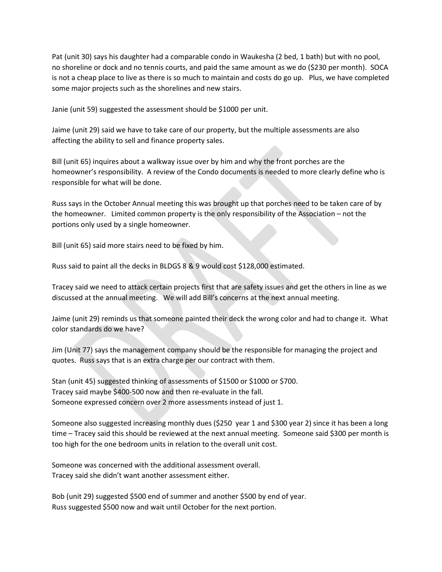Pat (unit 30) says his daughter had a comparable condo in Waukesha (2 bed, 1 bath) but with no pool, no shoreline or dock and no tennis courts, and paid the same amount as we do (\$230 per month). SOCA is not a cheap place to live as there is so much to maintain and costs do go up. Plus, we have completed some major projects such as the shorelines and new stairs.

Janie (unit 59) suggested the assessment should be \$1000 per unit.

Jaime (unit 29) said we have to take care of our property, but the multiple assessments are also affecting the ability to sell and finance property sales.

Bill (unit 65) inquires about a walkway issue over by him and why the front porches are the homeowner's responsibility. A review of the Condo documents is needed to more clearly define who is responsible for what will be done.

Russ says in the October Annual meeting this was brought up that porches need to be taken care of by the homeowner. Limited common property is the only responsibility of the Association – not the portions only used by a single homeowner.

Bill (unit 65) said more stairs need to be fixed by him.

Russ said to paint all the decks in BLDGS 8 & 9 would cost \$128,000 estimated.

Tracey said we need to attack certain projects first that are safety issues and get the others in line as we discussed at the annual meeting. We will add Bill's concerns at the next annual meeting.

Jaime (unit 29) reminds us that someone painted their deck the wrong color and had to change it. What color standards do we have?

Jim (Unit 77) says the management company should be the responsible for managing the project and quotes. Russ says that is an extra charge per our contract with them.

Stan (unit 45) suggested thinking of assessments of \$1500 or \$1000 or \$700. Tracey said maybe \$400-500 now and then re-evaluate in the fall. Someone expressed concern over 2 more assessments instead of just 1.

Someone also suggested increasing monthly dues (\$250 year 1 and \$300 year 2) since it has been a long time – Tracey said this should be reviewed at the next annual meeting. Someone said \$300 per month is too high for the one bedroom units in relation to the overall unit cost.

Someone was concerned with the additional assessment overall. Tracey said she didn't want another assessment either.

Bob (unit 29) suggested \$500 end of summer and another \$500 by end of year. Russ suggested \$500 now and wait until October for the next portion.